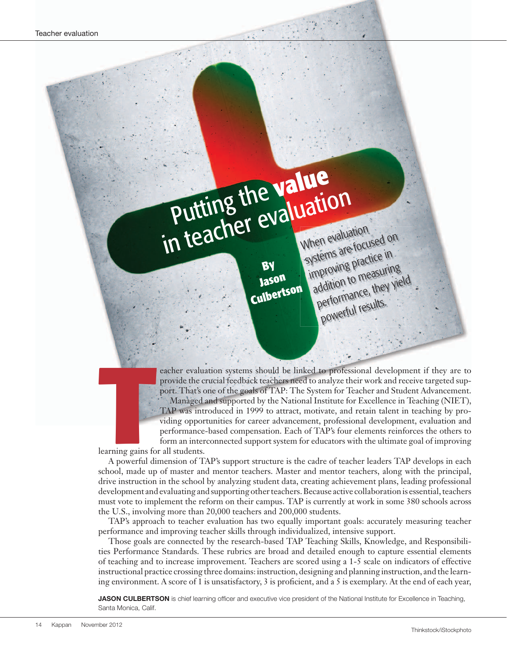

**THE SEAL OF STATE SEAL PROPERTY AND REAL PROPERTY OF STATE SEAL PROPERTY AND REAL PROPERTY AND REAL PROPERTY AND REAL PROPERTY AND REAL PROPERTY AND REAL PROPERTY.** eacher evaluation systems should be linked to professional development if they are to provide the crucial feedback teachers need to analyze their work and receive targeted support. That's one of the goals of TAP: The System for Teacher and Student Advancement. Managed and supported by the National Institute for Excellence in Teaching (NIET), TAP was introduced in 1999 to attract, motivate, and retain talent in teaching by providing opportunities for career advancement, professional development, evaluation and performance-based compensation. Each of TAP's four elements reinforces the others to form an interconnected support system for educators with the ultimate goal of improving

learning gains for all students.

A powerful dimension of TAP's support structure is the cadre of teacher leaders TAP develops in each school, made up of master and mentor teachers. Master and mentor teachers, along with the principal, drive instruction in the school by analyzing student data, creating achievement plans, leading professional development and evaluating and supporting other teachers. Because active collaboration is essential, teachers must vote to implement the reform on their campus. TAP is currently at work in some 380 schools across the U.S., involving more than 20,000 teachers and 200,000 students.

TAP's approach to teacher evaluation has two equally important goals: accurately measuring teacher performance and improving teacher skills through individualized, intensive support.

Those goals are connected by the research-based TAP Teaching Skills, Knowledge, and Responsibilities Performance Standards. These rubrics are broad and detailed enough to capture essential elements of teaching and to increase improvement. Teachers are scored using a 1-5 scale on indicators of effective instructional practice crossing three domains: instruction, designing and planning instruction, and the learning environment. A score of 1 is unsatisfactory, 3 is proficient, and a 5 is exemplary. At the end of each year,

JASON CULBERTSON is chief learning officer and executive vice president of the National Institute for Excellence in Teaching, Santa Monica, Calif.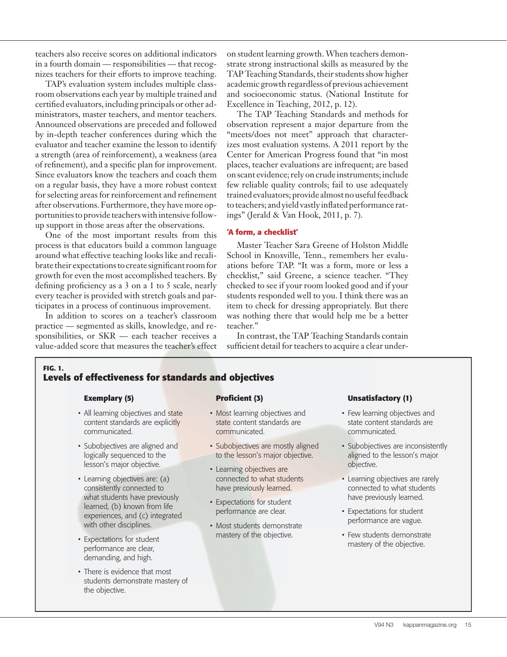teachers also receive scores on additional indicators in a fourth domain — responsibilities — that recognizes teachers for their efforts to improve teaching.

TAP's evaluation system includes multiple classroom observations each year by multiple trained and certified evaluators, including principals or other administrators, master teachers, and mentor teachers. Announced observations are preceded and followed by in-depth teacher conferences during which the evaluator and teacher examine the lesson to identify a strength (area of reinforcement), a weakness (area of refinement), and a specific plan for improvement. Since evaluators know the teachers and coach them on a regular basis, they have a more robust context for selecting areas for reinforcement and refinement after observations. Furthermore, they have more opportunities to provide teachers with intensive followup support in those areas after the observations.

One of the most important results from this process is that educators build a common language around what effective teaching looks like and recalibrate their expectations to create significant room for growth for even the most accomplished teachers. By defining proficiency as a  $3$  on a 1 to  $5$  scale, nearly every teacher is provided with stretch goals and participates in a process of continuous improvement.

In addition to scores on a teacher's classroom practice — segmented as skills, knowledge, and responsibilities, or SKR — each teacher receives a value-added score that measures the teacher's effect on student learning growth. When teachers demonstrate strong instructional skills as measured by the TAP Teaching Standards, their students show higher academic growth regardless of previous achievement and socioeconomic status. (National Institute for Excellence in Teaching, 2012, p. 12).

The TAP Teaching Standards and methods for observation represent a major departure from the "meets/does not meet" approach that characterizes most evaluation systems. A 2011 report by the Center for American Progress found that "in most places, teacher evaluations are infrequent; are based on scant evidence; rely on crude instruments; include few reliable quality controls; fail to use adequately trained evaluators; provide almost no useful feedback to teachers; and yield vastly inflated performance ratings" (Jerald & Van Hook, 2011, p. 7).

## **'A form, a checklist'**

Master Teacher Sara Greene of Holston Middle School in Knoxville, Tenn., remembers her evaluations before TAP. "It was a form, more or less a checklist," said Greene, a science teacher. "They checked to see if your room looked good and if your students responded well to you. I think there was an item to check for dressing appropriately. But there was nothing there that would help me be a better teacher."

In contrast, the TAP Teaching Standards contain sufficient detail for teachers to acquire a clear under-

## **FIG. 1. Levels of effectiveness for standards and objectives**

### **Exemplary (5)**

- All learning objectives and state content standards are explicitly communicated.
- Subobjectives are aligned and logically sequenced to the lesson's major objective.
- Learning objectives are: (a) consistently connected to what students have previously learned, (b) known from life experiences, and (c) integrated with other disciplines.
- Expectations for student performance are clear, demanding, and high.
- There is evidence that most students demonstrate mastery of the objective.

### **Proficient (3)**

- Most learning objectives and state content standards are communicated.
- Subobjectives are mostly aligned to the lesson's major objective.
- Learning objectives are connected to what students have previously learned.
- Expectations for student performance are clear.
- Most students demonstrate mastery of the objective.

### **Unsatisfactory (1)**

- Few learning objectives and state content standards are communicated.
- Subobjectives are inconsistently aligned to the lesson's major objective.
- Learning objectives are rarely connected to what students have previously learned.
- Expectations for student performance are vague.
- Few students demonstrate mastery of the objective.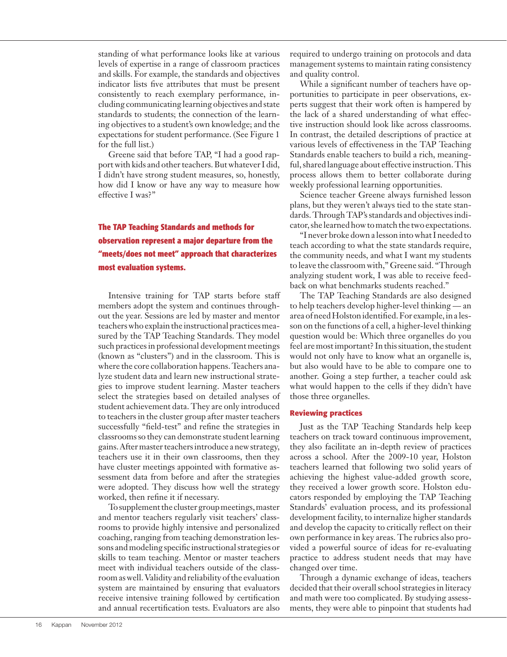standing of what performance looks like at various levels of expertise in a range of classroom practices and skills. For example, the standards and objectives indicator lists five attributes that must be present consistently to reach exemplary performance, including communicating learning objectives and state standards to students; the connection of the learning objectives to a student's own knowledge; and the expectations for student performance. (See Figure 1 for the full list.)

Greene said that before TAP, "I had a good rapport with kids and other teachers. But whatever I did, I didn't have strong student measures, so, honestly, how did I know or have any way to measure how effective I was?"

# **The TAP Teaching Standards and methods for observation represent a major departure from the "meets/does not meet" approach that characterizes most evaluation systems.**

Intensive training for TAP starts before staff members adopt the system and continues throughout the year. Sessions are led by master and mentor teachers who explain the instructional practices measured by the TAP Teaching Standards. They model such practices in professional development meetings (known as "clusters") and in the classroom. This is where the core collaboration happens. Teachers analyze student data and learn new instructional strategies to improve student learning. Master teachers select the strategies based on detailed analyses of student achievement data. They are only introduced to teachers in the cluster group after master teachers successfully "field-test" and refine the strategies in classrooms so they can demonstrate student learning gains. After master teachers introduce a new strategy, teachers use it in their own classrooms, then they have cluster meetings appointed with formative assessment data from before and after the strategies were adopted. They discuss how well the strategy worked, then refine it if necessary.

To supplement the cluster group meetings, master and mentor teachers regularly visit teachers' classrooms to provide highly intensive and personalized coaching, ranging from teaching demonstration lessons and modeling specific instructional strategies or skills to team teaching. Mentor or master teachers meet with individual teachers outside of the classroom as well. Validity and reliability of the evaluation system are maintained by ensuring that evaluators receive intensive training followed by certification and annual recertification tests. Evaluators are also required to undergo training on protocols and data management systems to maintain rating consistency and quality control.

While a significant number of teachers have opportunities to participate in peer observations, experts suggest that their work often is hampered by the lack of a shared understanding of what effective instruction should look like across classrooms. In contrast, the detailed descriptions of practice at various levels of effectiveness in the TAP Teaching Standards enable teachers to build a rich, meaningful, shared language about effective instruction. This process allows them to better collaborate during weekly professional learning opportunities.

Science teacher Greene always furnished lesson plans, but they weren't always tied to the state standards. Through TAP's standards and objectives indicator, she learned how to match the two expectations.

"I never broke down a lesson into what I needed to teach according to what the state standards require, the community needs, and what I want my students to leave the classroom with," Greene said. "Through analyzing student work, I was able to receive feedback on what benchmarks students reached."

The TAP Teaching Standards are also designed to help teachers develop higher-level thinking — an area of need Holston identified. For example, in a lesson on the functions of a cell, a higher-level thinking question would be: Which three organelles do you feel are most important? In this situation, the student would not only have to know what an organelle is, but also would have to be able to compare one to another. Going a step further, a teacher could ask what would happen to the cells if they didn't have those three organelles.

### **Reviewing practices**

Just as the TAP Teaching Standards help keep teachers on track toward continuous improvement, they also facilitate an in-depth review of practices across a school. After the 2009-10 year, Holston teachers learned that following two solid years of achieving the highest value-added growth score, they received a lower growth score. Holston educators responded by employing the TAP Teaching Standards' evaluation process, and its professional development facility, to internalize higher standards and develop the capacity to critically reflect on their own performance in key areas. The rubrics also provided a powerful source of ideas for re-evaluating practice to address student needs that may have changed over time.

Through a dynamic exchange of ideas, teachers decided that their overall school strategies in literacy and math were too complicated. By studying assessments, they were able to pinpoint that students had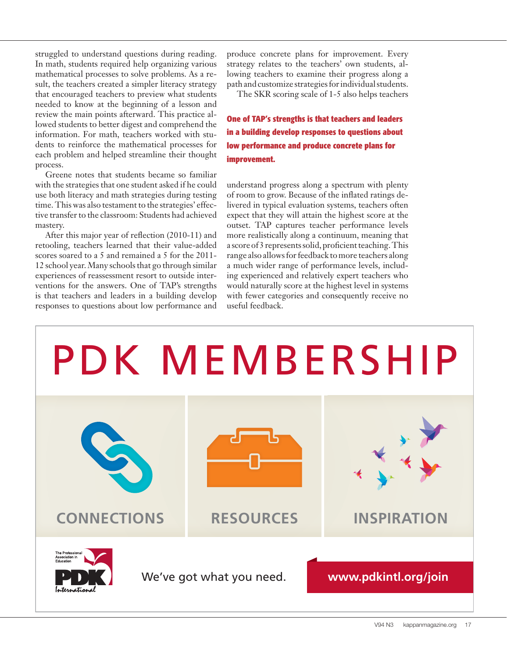struggled to understand questions during reading. In math, students required help organizing various mathematical processes to solve problems. As a result, the teachers created a simpler literacy strategy that encouraged teachers to preview what students needed to know at the beginning of a lesson and review the main points afterward. This practice allowed students to better digest and comprehend the information. For math, teachers worked with students to reinforce the mathematical processes for each problem and helped streamline their thought process.

Greene notes that students became so familiar with the strategies that one student asked if he could use both literacy and math strategies during testing time. This was also testament to the strategies' effective transfer to the classroom: Students had achieved mastery.

After this major year of reflection (2010-11) and retooling, teachers learned that their value-added scores soared to a 5 and remained a 5 for the 2011- 12 school year. Many schools that go through similar experiences of reassessment resort to outside interventions for the answers. One of TAP's strengths is that teachers and leaders in a building develop responses to questions about low performance and

produce concrete plans for improvement. Every strategy relates to the teachers' own students, allowing teachers to examine their progress along a path and customize strategies for individual students.

The SKR scoring scale of 1-5 also helps teachers

# **One of TAP's strengths is that teachers and leaders in a building develop responses to questions about low performance and produce concrete plans for improvement.**

understand progress along a spectrum with plenty of room to grow. Because of the inflated ratings delivered in typical evaluation systems, teachers often expect that they will attain the highest score at the outset. TAP captures teacher performance levels more realistically along a continuum, meaning that a score of 3 represents solid, proficient teaching. This range also allows for feedback to more teachers along a much wider range of performance levels, including experienced and relatively expert teachers who would naturally score at the highest level in systems with fewer categories and consequently receive no useful feedback.